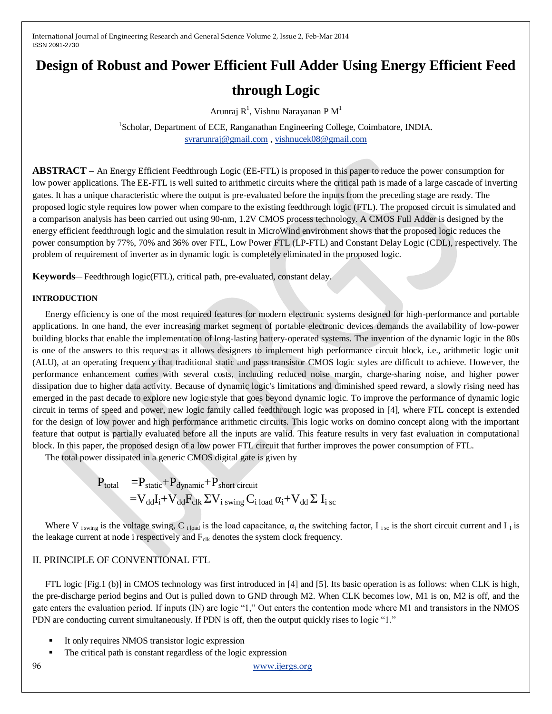# **Design of Robust and Power Efficient Full Adder Using Energy Efficient Feed**

# **through Logic**

Arunraj R<sup>1</sup>, Vishnu Narayanan P $M<sup>1</sup>$ 

<sup>1</sup>Scholar, Department of ECE, Ranganathan Engineering College, Coimbatore, INDIA. [svrarunraj@gmail.com](mailto:svrarunraj@gmail.com) [, vishnucek08@gmail.com](mailto:vishnucek08@gmail.com)

**ABSTRACT –** An Energy Efficient Feedthrough Logic (EE-FTL) is proposed in this paper to reduce the power consumption for low power applications. The EE-FTL is well suited to arithmetic circuits where the critical path is made of a large cascade of inverting gates. It has a unique characteristic where the output is pre-evaluated before the inputs from the preceding stage are ready. The proposed logic style requires low power when compare to the existing feedthrough logic (FTL). The proposed circuit is simulated and a comparison analysis has been carried out using 90-nm, 1.2V CMOS process technology. A CMOS Full Adder is designed by the energy efficient feedthrough logic and the simulation result in MicroWind environment shows that the proposed logic reduces the power consumption by 77%, 70% and 36% over FTL, Low Power FTL (LP-FTL) and Constant Delay Logic (CDL), respectively. The problem of requirement of inverter as in dynamic logic is completely eliminated in the proposed logic.

**Keywords**— Feedthrough logic(FTL), critical path, pre-evaluated, constant delay.

#### **INTRODUCTION**

Energy efficiency is one of the most required features for modern electronic systems designed for high-performance and portable applications. In one hand, the ever increasing market segment of portable electronic devices demands the availability of low-power building blocks that enable the implementation of long-lasting battery-operated systems. The invention of the dynamic logic in the 80s is one of the answers to this request as it allows designers to implement high performance circuit block, i.e., arithmetic logic unit (ALU), at an operating frequency that traditional static and pass transistor CMOS logic styles are difficult to achieve. However, the performance enhancement comes with several costs, including reduced noise margin, charge-sharing noise, and higher power dissipation due to higher data activity. Because of dynamic logic's limitations and diminished speed reward, a slowly rising need has emerged in the past decade to explore new logic style that goes beyond dynamic logic. To improve the performance of dynamic logic circuit in terms of speed and power, new logic family called feedthrough logic was proposed in [4], where FTL concept is extended for the design of low power and high performance arithmetic circuits. This logic works on domino concept along with the important feature that output is partially evaluated before all the inputs are valid. This feature results in very fast evaluation in computational block. In this paper, the proposed design of a low power FTL circuit that further improves the power consumption of FTL.

The total power dissipated in a generic CMOS digital gate is given by

$$
\begin{array}{rl} P_{total} & =\!\!P_{static}\!\!+\!P_{dynamic}\!\!+\!P_{short\;circuit} \\ & =\!\!V_{dd}I_{i}\!\!+\!V_{dd}F_{clk}\,\Sigma V_{i\;swing}\,C_{i\;load}\,\alpha_{i}\!\!+\!V_{dd}\,\Sigma\;I_{i\;sc} \end{array}
$$

Where V<sub>iswing</sub> is the voltage swing, C<sub>iload</sub> is the load capacitance,  $\alpha_i$  the switching factor, I<sub>isc</sub> is the short circuit current and I<sub>I</sub> is the leakage current at node i respectively and  $F_{\text{clk}}$  denotes the system clock frequency.

## II. PRINCIPLE OF CONVENTIONAL FTL

FTL logic [Fig.1 (b)] in CMOS technology was first introduced in [4] and [5]. Its basic operation is as follows: when CLK is high, the pre-discharge period begins and Out is pulled down to GND through M2. When CLK becomes low, M1 is on, M2 is off, and the gate enters the evaluation period. If inputs (IN) are logic "1," Out enters the contention mode where M1 and transistors in the NMOS PDN are conducting current simultaneously. If PDN is off, then the output quickly rises to logic "1."

- It only requires NMOS transistor logic expression
- The critical path is constant regardless of the logic expression

96 [www.ijergs.org](http://www.ijergs.org/)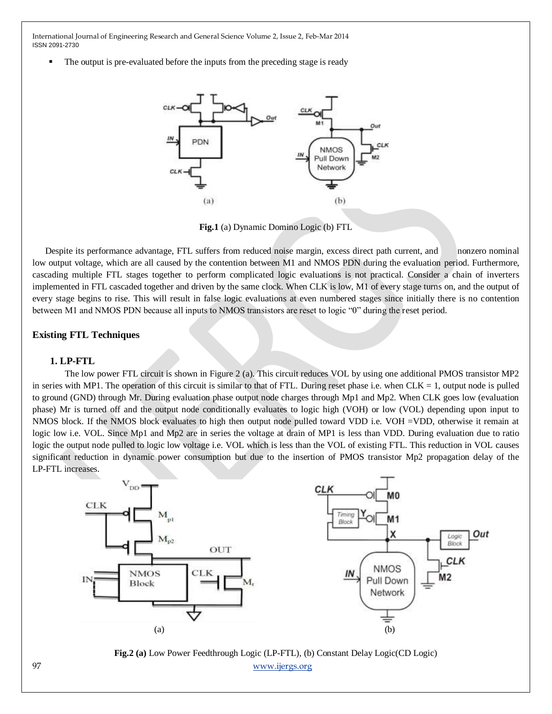The output is pre-evaluated before the inputs from the preceding stage is ready



**Fig.1** (a) Dynamic Domino Logic (b) FTL

Despite its performance advantage, FTL suffers from reduced noise margin, excess direct path current, and nonzero nominal low output voltage, which are all caused by the contention between M1 and NMOS PDN during the evaluation period. Furthermore, cascading multiple FTL stages together to perform complicated logic evaluations is not practical. Consider a chain of inverters implemented in FTL cascaded together and driven by the same clock. When CLK is low, M1 of every stage turns on, and the output of every stage begins to rise. This will result in false logic evaluations at even numbered stages since initially there is no contention between M1 and NMOS PDN because all inputs to NMOS transistors are reset to logic "0" during the reset period.

### **Existing FTL Techniques**

#### **1. LP-FTL**

The low power FTL circuit is shown in Figure 2 (a). This circuit reduces VOL by using one additional PMOS transistor MP2 in series with MP1. The operation of this circuit is similar to that of FTL. During reset phase i.e. when  $CLK = 1$ , output node is pulled to ground (GND) through Mr. During evaluation phase output node charges through Mp1 and Mp2. When CLK goes low (evaluation phase) Mr is turned off and the output node conditionally evaluates to logic high (VOH) or low (VOL) depending upon input to NMOS block. If the NMOS block evaluates to high then output node pulled toward VDD i.e. VOH =VDD, otherwise it remain at logic low i.e. VOL. Since Mp1 and Mp2 are in series the voltage at drain of MP1 is less than VDD. During evaluation due to ratio logic the output node pulled to logic low voltage i.e. VOL which is less than the VOL of existing FTL. This reduction in VOL causes significant reduction in dynamic power consumption but due to the insertion of PMOS transistor Mp2 propagation delay of the LP-FTL increases.



97 [www.ijergs.org](http://www.ijergs.org/) **Fig.2 (a)** Low Power Feedthrough Logic (LP-FTL), (b) Constant Delay Logic(CD Logic)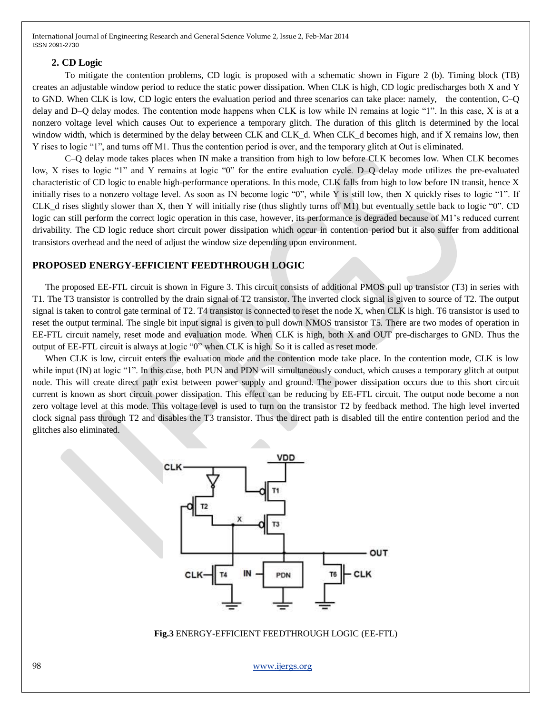#### **2. CD Logic**

To mitigate the contention problems, CD logic is proposed with a schematic shown in Figure 2 (b). Timing block (TB) creates an adjustable window period to reduce the static power dissipation. When CLK is high, CD logic predischarges both X and Y to GND. When CLK is low, CD logic enters the evaluation period and three scenarios can take place: namely, the contention, C–Q delay and D–O delay modes. The contention mode happens when CLK is low while IN remains at logic "1". In this case, X is at a nonzero voltage level which causes Out to experience a temporary glitch. The duration of this glitch is determined by the local window width, which is determined by the delay between CLK and CLK\_d. When CLK\_d becomes high, and if X remains low, then Y rises to logic "1", and turns off M1. Thus the contention period is over, and the temporary glitch at Out is eliminated.

C–Q delay mode takes places when IN make a transition from high to low before CLK becomes low. When CLK becomes low, X rises to logic "1" and Y remains at logic "0" for the entire evaluation cycle. D–Q delay mode utilizes the pre-evaluated characteristic of CD logic to enable high-performance operations. In this mode, CLK falls from high to low before IN transit, hence X initially rises to a nonzero voltage level. As soon as IN become logic  $\degree 0$ , while Y is still low, then X quickly rises to logic  $\degree 1$ . If CLK\_d rises slightly slower than X, then Y will initially rise (thus slightly turns off M1) but eventually settle back to logic  $\degree$ . CD logic can still perform the correct logic operation in this case, however, its performance is degraded because of M1's reduced current drivability. The CD logic reduce short circuit power dissipation which occur in contention period but it also suffer from additional transistors overhead and the need of adjust the window size depending upon environment.

## **PROPOSED ENERGY-EFFICIENT FEEDTHROUGH LOGIC**

The proposed EE-FTL circuit is shown in Figure 3. This circuit consists of additional PMOS pull up transistor (T3) in series with T1. The T3 transistor is controlled by the drain signal of T2 transistor. The inverted clock signal is given to source of T2. The output signal is taken to control gate terminal of T2. T4 transistor is connected to reset the node X, when CLK is high. T6 transistor is used to reset the output terminal. The single bit input signal is given to pull down NMOS transistor T5. There are two modes of operation in EE-FTL circuit namely, reset mode and evaluation mode. When CLK is high, both X and OUT pre-discharges to GND. Thus the output of EE-FTL circuit is always at logic "0" when CLK is high. So it is called as reset mode.

When CLK is low, circuit enters the evaluation mode and the contention mode take place. In the contention mode, CLK is low while input (IN) at logic "1". In this case, both PUN and PDN will simultaneously conduct, which causes a temporary glitch at output node. This will create direct path exist between power supply and ground. The power dissipation occurs due to this short circuit current is known as short circuit power dissipation. This effect can be reducing by EE-FTL circuit. The output node become a non zero voltage level at this mode. This voltage level is used to turn on the transistor T2 by feedback method. The high level inverted clock signal pass through T2 and disables the T3 transistor. Thus the direct path is disabled till the entire contention period and the glitches also eliminated.



#### **Fig.3** ENERGY-EFFICIENT FEEDTHROUGH LOGIC (EE-FTL)

98 [www.ijergs.org](http://www.ijergs.org/)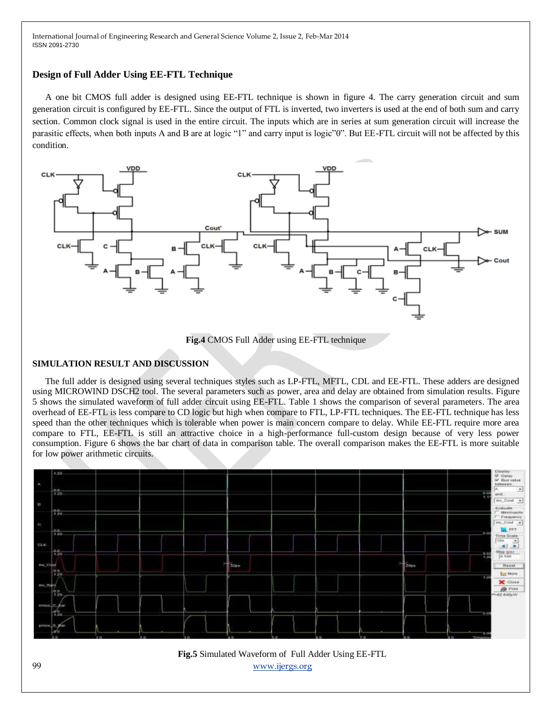## **Design of Full Adder Using EE-FTL Technique**

A one bit CMOS full adder is designed using EE-FTL technique is shown in figure 4. The carry generation circuit and sum generation circuit is configured by EE-FTL. Since the output of FTL is inverted, two inverters is used at the end of both sum and carry section. Common clock signal is used in the entire circuit. The inputs which are in series at sum generation circuit will increase the parasitic effects, when both inputs A and B are at logic "1" and carry input is logic"0". But EE-FTL circuit will not be affected by this condition.



**Fig.4** CMOS Full Adder using EE-FTL technique

## **SIMULATION RESULT AND DISCUSSION**

The full adder is designed using several techniques styles such as LP-FTL, MFTL, CDL and EE-FTL. These adders are designed using MICROWIND DSCH2 tool. The several parameters such as power, area and delay are obtained from simulation results. Figure 5 shows the simulated waveform of full adder circuit using EE-FTL. Table 1 shows the comparison of several parameters. The area overhead of EE-FTL is less compare to CD logic but high when compare to FTL, LP-FTL techniques. The EE-FTL technique has less speed than the other techniques which is tolerable when power is main concern compare to delay. While EE-FTL require more area compare to FTL, EE-FTL is still an attractive choice in a high-performance full-custom design because of very less power consumption. Figure 6 shows the bar chart of data in comparison table. The overall comparison makes the EE-FTL is more suitable for low power arithmetic circuits.



99 [www.ijergs.org](http://www.ijergs.org/) **Fig.5** Simulated Waveform of Full Adder Using EE-FTL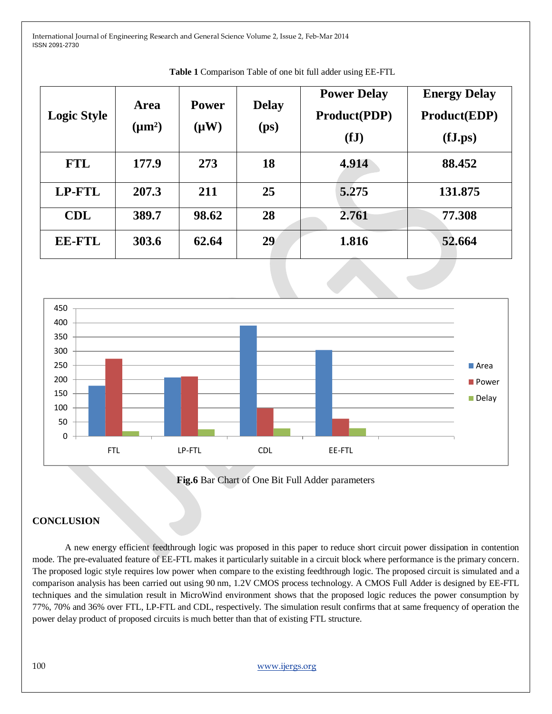| <b>Logic Style</b> | Area<br>$(\mu m^2)$ | <b>Power</b><br>$(\mu W)$ | <b>Delay</b><br>(p <sub>S</sub> ) | <b>Power Delay</b><br><b>Product(PDP)</b><br>(fJ) | <b>Energy Delay</b><br><b>Product(EDP)</b><br>(fJ.ps) |
|--------------------|---------------------|---------------------------|-----------------------------------|---------------------------------------------------|-------------------------------------------------------|
| <b>FTL</b>         | 177.9               | 273                       | 18                                | 4.914                                             | 88.452                                                |
| <b>LP-FTL</b>      | 207.3               | 211                       | 25                                | 5.275                                             | 131.875                                               |
| <b>CDL</b>         | 389.7               | 98.62                     | 28                                | 2.761                                             | 77.308                                                |
| <b>EE-FTL</b>      | 303.6               | 62.64                     | 29                                | 1.816                                             | 52.664                                                |

**Table 1** Comparison Table of one bit full adder using EE-FTL



**Fig.6** Bar Chart of One Bit Full Adder parameters

## **CONCLUSION**

A new energy efficient feedthrough logic was proposed in this paper to reduce short circuit power dissipation in contention mode. The pre-evaluated feature of EE-FTL makes it particularly suitable in a circuit block where performance is the primary concern. The proposed logic style requires low power when compare to the existing feedthrough logic. The proposed circuit is simulated and a comparison analysis has been carried out using 90 nm, 1.2V CMOS process technology. A CMOS Full Adder is designed by EE-FTL techniques and the simulation result in MicroWind environment shows that the proposed logic reduces the power consumption by 77%, 70% and 36% over FTL, LP-FTL and CDL, respectively. The simulation result confirms that at same frequency of operation the power delay product of proposed circuits is much better than that of existing FTL structure.